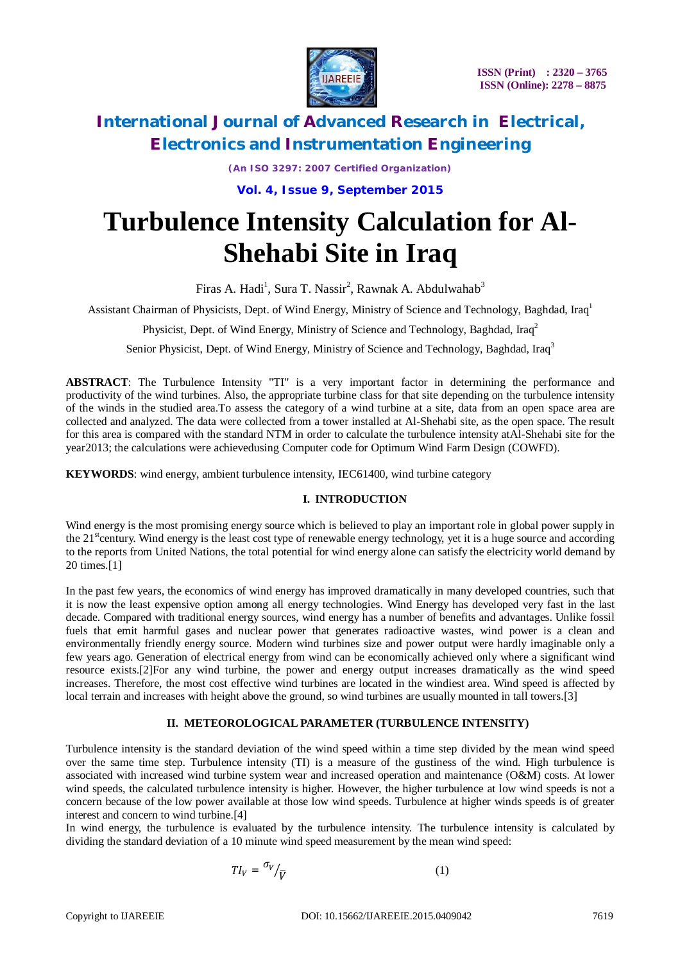

*(An ISO 3297: 2007 Certified Organization)*

**Vol. 4, Issue 9, September 2015**

# **Turbulence Intensity Calculation for Al-Shehabi Site in Iraq**

Firas A. Hadi<sup>1</sup>, Sura T. Nassir<sup>2</sup>, Rawnak A. Abdulwahab<sup>3</sup>

Assistant Chairman of Physicists, Dept. of Wind Energy, Ministry of Science and Technology, Baghdad, Iraq<sup>1</sup>

Physicist, Dept. of Wind Energy, Ministry of Science and Technology, Baghdad, Iraq<sup>2</sup>

Senior Physicist, Dept. of Wind Energy, Ministry of Science and Technology, Baghdad, Iraq<sup>3</sup>

**ABSTRACT**: The Turbulence Intensity "TI" is a very important factor in determining the performance and productivity of the wind turbines. Also, the appropriate turbine class for that site depending on the turbulence intensity of the winds in the studied area.To assess the category of a wind turbine at a site, data from an open space area are collected and analyzed. The data were collected from a tower installed at Al-Shehabi site, as the open space. The result for this area is compared with the standard NTM in order to calculate the turbulence intensity atAl-Shehabi site for the year2013; the calculations were achievedusing Computer code for Optimum Wind Farm Design (COWFD).

**KEYWORDS**: wind energy, ambient turbulence intensity, IEC61400, wind turbine category

#### **I. INTRODUCTION**

Wind energy is the most promising energy source which is believed to play an important role in global power supply in the  $21<sup>st</sup>$  century. Wind energy is the least cost type of renewable energy technology, yet it is a huge source and according to the reports from United Nations, the total potential for wind energy alone can satisfy the electricity world demand by 20 times.[1]

In the past few years, the economics of wind energy has improved dramatically in many developed countries, such that it is now the least expensive option among all energy technologies. Wind Energy has developed very fast in the last decade. Compared with traditional energy sources, wind energy has a number of benefits and advantages. Unlike fossil fuels that emit harmful gases and nuclear power that generates radioactive wastes, wind power is a clean and environmentally friendly energy source. Modern wind turbines size and power output were hardly imaginable only a few years ago. Generation of electrical energy from wind can be economically achieved only where a significant wind resource exists.[2]For any wind turbine, the power and energy output increases dramatically as the wind speed increases. Therefore, the most cost effective wind turbines are located in the windiest area. Wind speed is affected by local terrain and increases with height above the ground, so wind turbines are usually mounted in tall towers.[3]

#### **II. METEOROLOGICAL PARAMETER (TURBULENCE INTENSITY)**

Turbulence intensity is the standard deviation of the wind speed within a time step divided by the mean wind speed over the same time step. Turbulence intensity (TI) is a measure of the gustiness of the wind. High turbulence is associated with increased wind turbine system wear and increased operation and maintenance (O&M) costs. At lower wind speeds, the calculated turbulence intensity is higher. However, the higher turbulence at low wind speeds is not a concern because of the low power available at those low wind speeds. Turbulence at higher winds speeds is of greater interest and concern to wind turbine.[4]

In wind energy, the turbulence is evaluated by the turbulence intensity. The turbulence intensity is calculated by dividing the standard deviation of a 10 minute wind speed measurement by the mean wind speed:

$$
TI_V = \frac{\sigma_V}{\bar{V}} \tag{1}
$$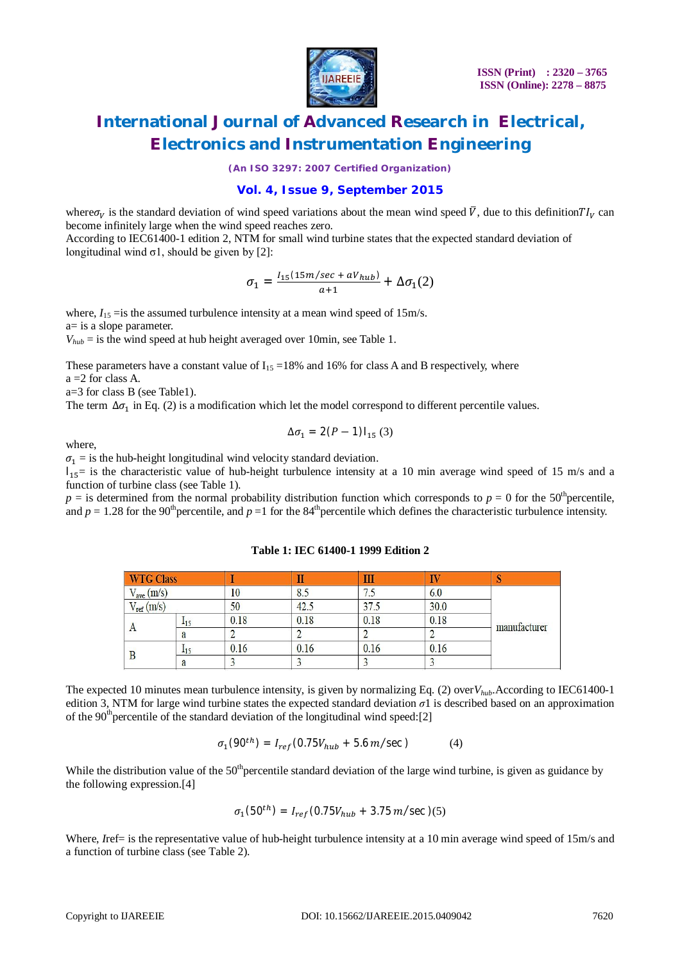

*(An ISO 3297: 2007 Certified Organization)*

#### **Vol. 4, Issue 9, September 2015**

where  $\sigma_V$  is the standard deviation of wind speed variations about the mean wind speed  $\bar{V}$ , due to this definition  $T I_V$  can become infinitely large when the wind speed reaches zero.

According to IEC61400-1 edition 2, NTM for small wind turbine states that the expected standard deviation of longitudinal wind  $\sigma$ 1, should be given by [2]:

$$
\sigma_1=\tfrac{I_{15}(15m/sec+aV_{hub})}{a+1}+\Delta\sigma_1(2)
$$

where,  $I_{15}$  = is the assumed turbulence intensity at a mean wind speed of 15m/s. a= is a slope parameter.

 $V_{huh}$  = is the wind speed at hub height averaged over 10min, see Table 1.

These parameters have a constant value of  $I_{15} = 18\%$  and 16% for class A and B respectively, where  $a = 2$  for class A.

a=3 for class B (see Table1).

The term  $\Delta \sigma_1$  in Eq. (2) is a modification which let the model correspond to different percentile values.

$$
\Delta \sigma_1 = 2(P-1)I_{15} (3)
$$

where,

 $\sigma_1$  = is the hub-height longitudinal wind velocity standard deviation.

 $I_{15}$ = is the characteristic value of hub-height turbulence intensity at a 10 min average wind speed of 15 m/s and a function of turbine class (see Table 1).

 $p =$  is determined from the normal probability distribution function which corresponds to  $p = 0$  for the 50<sup>th</sup> percentile, and  $p = 1.28$  for the 90<sup>th</sup> percentile, and  $p = 1$  for the 84<sup>th</sup> percentile which defines the characteristic turbulence intensity.

| <b>WTG Class</b> |       |      | ш    | Ш    |             |              |  |  |
|------------------|-------|------|------|------|-------------|--------------|--|--|
| $V_{ave}$ (m/s)  |       | 10   | 8.5  | 7.5  | 6.0<br>30.0 |              |  |  |
| $V_{ref}(m/s)$   |       | 50   | 42.5 | 375  |             |              |  |  |
| A                | $-15$ | 0.18 | 0.18 | 0.18 | 0.18        | manufacturer |  |  |
|                  | a     |      |      |      |             |              |  |  |
|                  | 115   | 0.16 | 0.16 | 0.16 | 0.16        |              |  |  |
|                  | a     |      |      |      |             |              |  |  |

#### **Table 1: IEC 61400-1 1999 Edition 2**

The expected 10 minutes mean turbulence intensity, is given by normalizing Eq. (2) over*Vhub*.According to IEC61400-1 edition 3, NTM for large wind turbine states the expected standard deviation *σ*1 is described based on an approximation of the 90<sup>th</sup> percentile of the standard deviation of the longitudinal wind speed:[2]

$$
\sigma_1(90^{th}) = I_{ref}(0.75V_{hub} + 5.6 m/sec)
$$
 (4)

While the distribution value of the  $50<sup>th</sup>$  percentile standard deviation of the large wind turbine, is given as guidance by the following expression.[4]

$$
\sigma_1(50^{th}) = I_{ref}(0.75V_{hub} + 3.75m/sec)(5)
$$

Where, *Iref*= is the representative value of hub-height turbulence intensity at a 10 min average wind speed of 15m/s and a function of turbine class (see Table 2).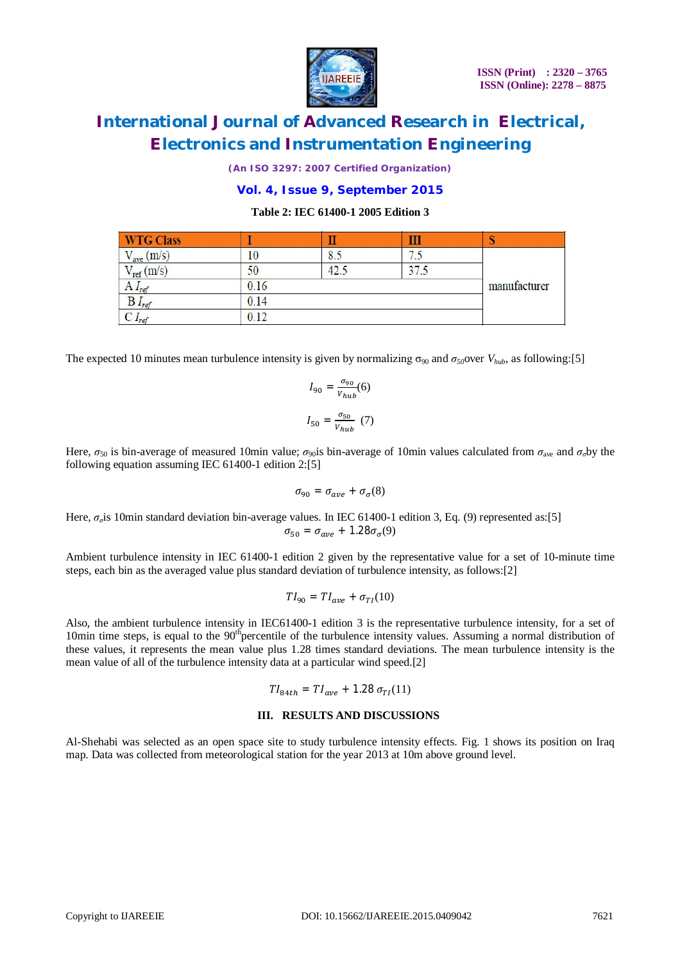

*(An ISO 3297: 2007 Certified Organization)*

#### **Vol. 4, Issue 9, September 2015**

#### **Table 2: IEC 61400-1 2005 Edition 3**

| <b>WTG Class</b>                        |      |                     |                                |  |
|-----------------------------------------|------|---------------------|--------------------------------|--|
| $V_{\text{ave}}\left(\text{m/s}\right)$ | 10   | o<br>$\mathbf{0}$ . | 75<br>$\overline{\phantom{a}}$ |  |
| $V_{ref}(m/s)$                          | 50   | 12                  | 37                             |  |
| $A I_{ref}$                             | 0.16 | manufacturer        |                                |  |
| $B I_{ref}$                             | 0.14 |                     |                                |  |
| $L_{ref}$                               | 0.12 |                     |                                |  |

The expected 10 minutes mean turbulence intensity is given by normalizing  $\sigma_{90}$  and  $\sigma_{50}$ over  $V_{hub}$ , as following:[5]

$$
I_{90} = \frac{\sigma_{90}}{V_{hub}}(6)
$$

$$
I_{50} = \frac{\sigma_{50}}{V_{buh}}(7)
$$

Here,  $\sigma_{50}$  is bin-average of measured 10min value;  $\sigma_{90}$ is bin-average of 10min values calculated from  $\sigma_{\text{ave}}$  and  $\sigma_{\sigma}$ by the following equation assuming IEC 61400-1 edition 2:[5]

$$
\sigma_{90} = \sigma_{ave} + \sigma_{\sigma}(8)
$$

Here, *σ<sub>σ</sub>*is 10min standard deviation bin-average values. In IEC 61400-1 edition 3, Eq. (9) represented as:[5]  $\sigma_{50} = \sigma_{ave} + 1.28 \sigma_{\sigma}(9)$ 

Ambient turbulence intensity in IEC 61400-1 edition 2 given by the representative value for a set of 10-minute time steps, each bin as the averaged value plus standard deviation of turbulence intensity, as follows:[2]

$$
TI_{90}=TI_{ave}+\sigma_{TI}(10)
$$

Also, the ambient turbulence intensity in IEC61400-1 edition 3 is the representative turbulence intensity, for a set of 10min time steps, is equal to the  $90<sup>th</sup>$  percentile of the turbulence intensity values. Assuming a normal distribution of these values, it represents the mean value plus 1.28 times standard deviations. The mean turbulence intensity is the mean value of all of the turbulence intensity data at a particular wind speed.[2]

$$
TI_{84th} = TI_{ave} + 1.28 \sigma_{TI}(11)
$$

#### **III. RESULTS AND DISCUSSIONS**

Al-Shehabi was selected as an open space site to study turbulence intensity effects. Fig. 1 shows its position on Iraq map. Data was collected from meteorological station for the year 2013 at 10m above ground level.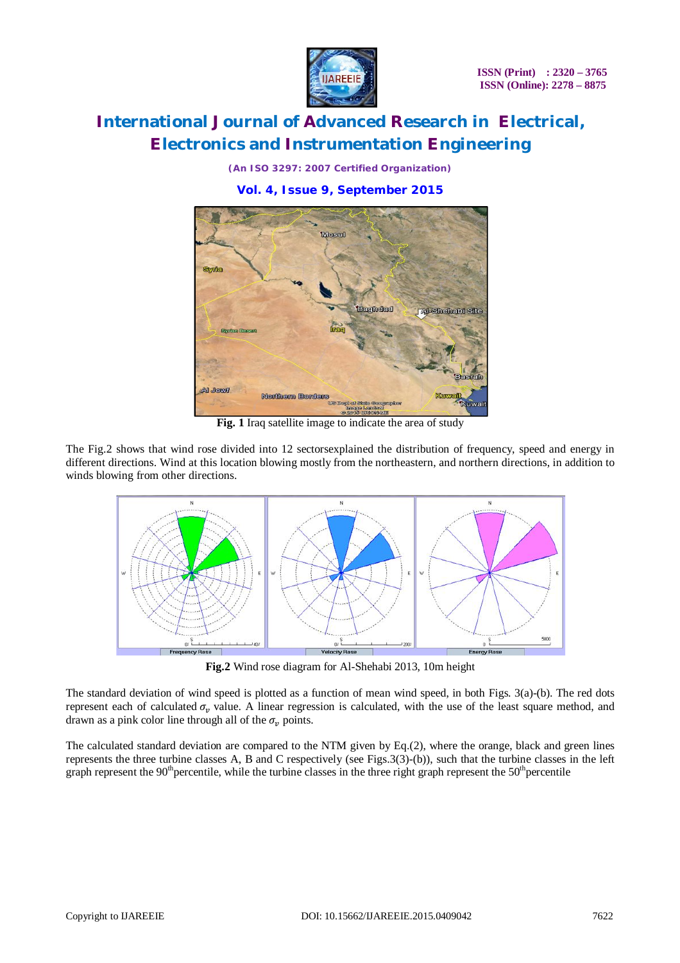

*(An ISO 3297: 2007 Certified Organization)*

### **Vol. 4, Issue 9, September 2015**



**Fig. 1** Iraq satellite image to indicate the area of study

The Fig.2 shows that wind rose divided into 12 sectorsexplained the distribution of frequency, speed and energy in different directions. Wind at this location blowing mostly from the northeastern, and northern directions, in addition to winds blowing from other directions.



**Fig.2** Wind rose diagram for Al-Shehabi 2013, 10m height

The standard deviation of wind speed is plotted as a function of mean wind speed, in both Figs. 3(a)-(b). The red dots represent each of calculated  $\sigma_v$  value. A linear regression is calculated, with the use of the least square method, and drawn as a pink color line through all of the  $\sigma_n$  points.

The calculated standard deviation are compared to the NTM given by Eq.(2), where the orange, black and green lines represents the three turbine classes A, B and C respectively (see Figs.3(3)-(b)), such that the turbine classes in the left graph represent the  $90<sup>th</sup>$  percentile, while the turbine classes in the three right graph represent the  $50<sup>th</sup>$  percentile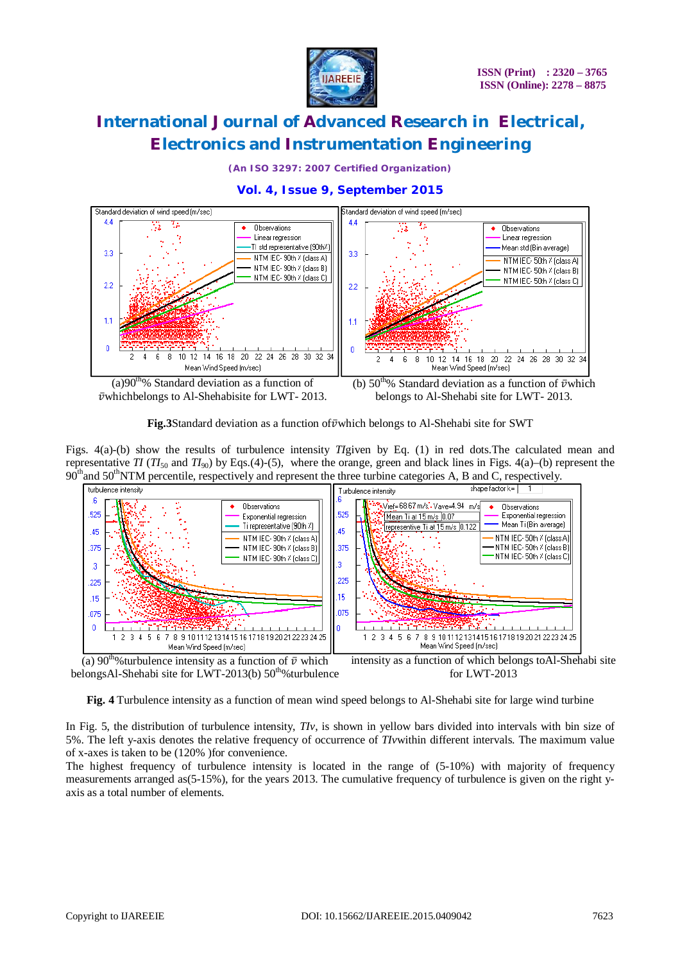

*(An ISO 3297: 2007 Certified Organization)*

### **Vol. 4, Issue 9, September 2015**



 $\bar{\nu}$ whichbelongs to Al-Shehabisite for LWT- 2013.

(b)  $50<sup>th</sup>%$  Standard deviation as a function of  $\bar{\nu}$ which belongs to Al-Shehabi site for LWT- 2013.

**Fig.3**Standard deviation as a function of  $\bar{v}$  which belongs to Al-Shehabi site for SWT

Figs. 4(a)-(b) show the results of turbulence intensity *TI*given by Eq. (1) in red dots.The calculated mean and representative *TI* (*TI*<sub>50</sub> and *TI*<sub>90</sub>) by Eqs.(4)-(5), where the orange, green and black lines in Figs. 4(a)–(b) represent the  $90<sup>th</sup>$  and  $50<sup>th</sup>$ NTM percentile, respectively and represent the three turbine categories A, B and C, respectively.



(a) 90<sup>th</sup>%turbulence intensity as a function of  $\bar{v}$  which belongsAl-Shehabi site for LWT-2013(b) 50<sup>th</sup>%turbulence intensity as a function of which belongs toAl-Shehabi site for LWT-2013

**Fig. 4** Turbulence intensity as a function of mean wind speed belongs to Al-Shehabi site for large wind turbine

In Fig. 5, the distribution of turbulence intensity, *TIv*, is shown in yellow bars divided into intervals with bin size of 5%. The left y-axis denotes the relative frequency of occurrence of *TIv*within different intervals. The maximum value of x-axes is taken to be (120% )for convenience.

The highest frequency of turbulence intensity is located in the range of (5-10%) with majority of frequency measurements arranged as(5-15%), for the years 2013. The cumulative frequency of turbulence is given on the right yaxis as a total number of elements.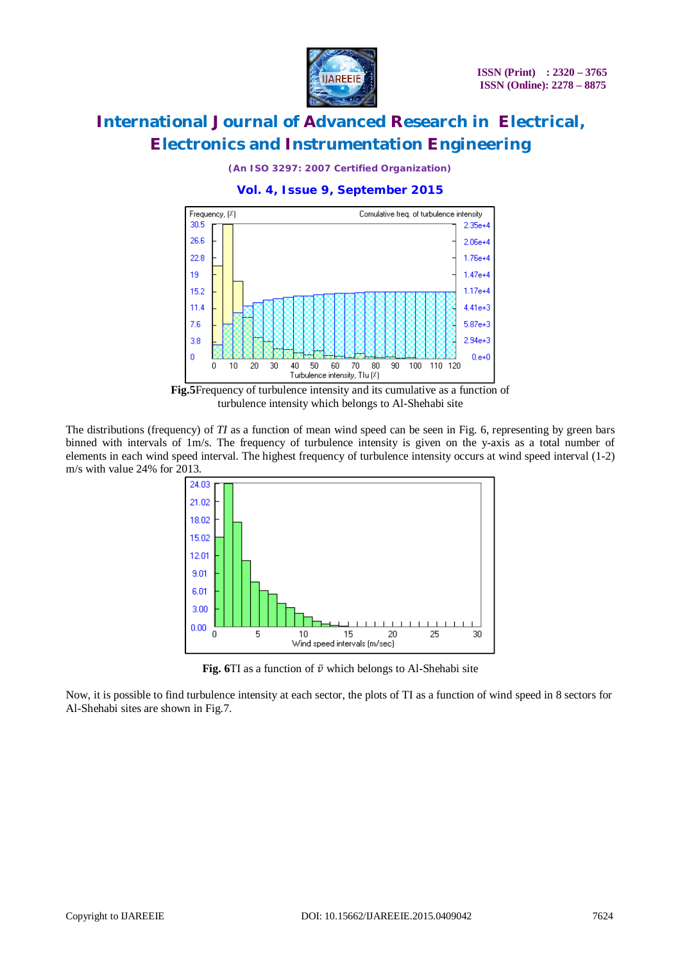

*(An ISO 3297: 2007 Certified Organization)*

### **Vol. 4, Issue 9, September 2015**



**Fig.5**Frequency of turbulence intensity and its cumulative as a function of turbulence intensity which belongs to Al-Shehabi site

The distributions (frequency) of *TI* as a function of mean wind speed can be seen in Fig. 6, representing by green bars binned with intervals of 1m/s. The frequency of turbulence intensity is given on the y-axis as a total number of elements in each wind speed interval. The highest frequency of turbulence intensity occurs at wind speed interval (1-2) m/s with value 24% for 2013.



**Fig.** 6TI as a function of  $\bar{v}$  which belongs to Al-Shehabi site

Now, it is possible to find turbulence intensity at each sector, the plots of TI as a function of wind speed in 8 sectors for Al-Shehabi sites are shown in Fig.7.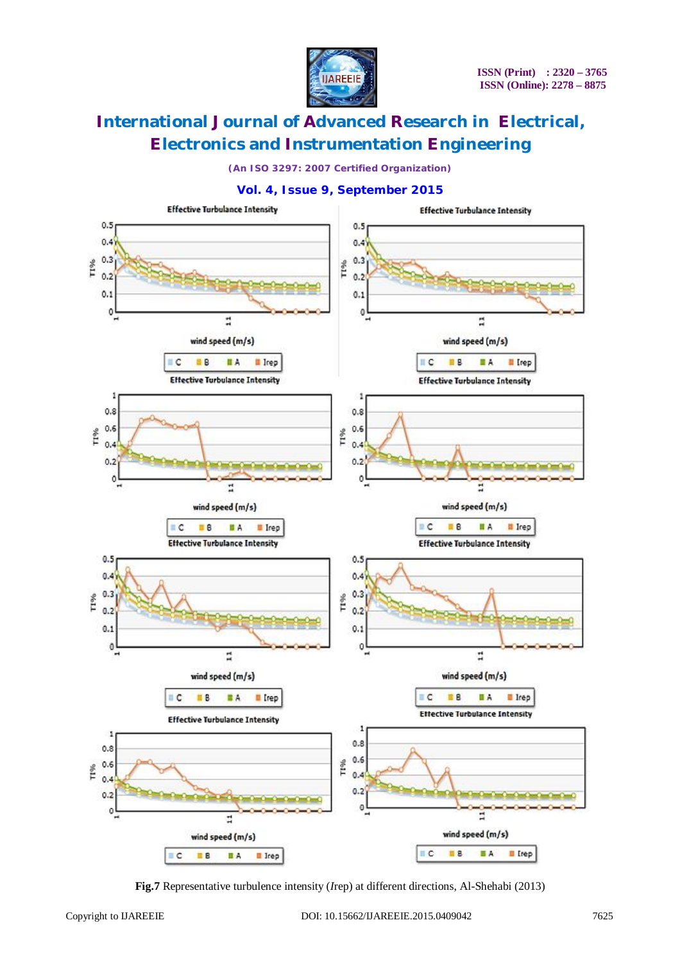

*(An ISO 3297: 2007 Certified Organization)*

### **Vol. 4, Issue 9, September 2015**



**Fig.7** Representative turbulence intensity (*I*rep) at different directions, Al-Shehabi (2013)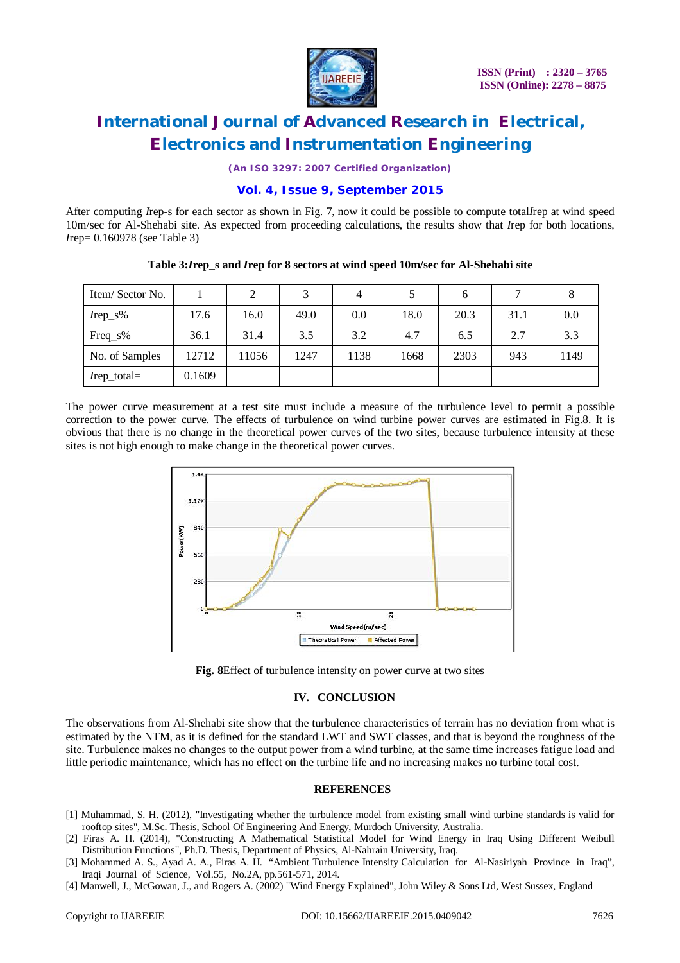

*(An ISO 3297: 2007 Certified Organization)*

### **Vol. 4, Issue 9, September 2015**

After computing *I*rep-s for each sector as shown in Fig. 7, now it could be possible to compute total*I*rep at wind speed 10m/sec for Al-Shehabi site. As expected from proceeding calculations, the results show that *I*rep for both locations, *I*rep= 0.160978 (see Table 3)

| Item/Sector No. |        | 2     |      | $\overline{4}$ |      | h    |      |      |
|-----------------|--------|-------|------|----------------|------|------|------|------|
| $Irep_S\%$      | 17.6   | 16.0  | 49.0 | 0.0            | 18.0 | 20.3 | 31.1 | 0.0  |
| $Freq_s\%$      | 36.1   | 31.4  | 3.5  | 3.2            | 4.7  | 6.5  | 2.7  | 3.3  |
| No. of Samples  | 12712  | 11056 | 1247 | 1138           | 1668 | 2303 | 943  | 1149 |
| $I$ rep_total=  | 0.1609 |       |      |                |      |      |      |      |

**Table 3:***I***rep\_s and** *I***rep for 8 sectors at wind speed 10m/sec for Al-Shehabi site**

The power curve measurement at a test site must include a measure of the turbulence level to permit a possible correction to the power curve. The effects of turbulence on wind turbine power curves are estimated in Fig.8. It is obvious that there is no change in the theoretical power curves of the two sites, because turbulence intensity at these sites is not high enough to make change in the theoretical power curves.



**Fig. 8**Effect of turbulence intensity on power curve at two sites

#### **IV. CONCLUSION**

The observations from Al-Shehabi site show that the turbulence characteristics of terrain has no deviation from what is estimated by the NTM, as it is defined for the standard LWT and SWT classes, and that is beyond the roughness of the site. Turbulence makes no changes to the output power from a wind turbine, at the same time increases fatigue load and little periodic maintenance, which has no effect on the turbine life and no increasing makes no turbine total cost.

#### **REFERENCES**

- [1] Muhammad, S. H. (2012), "Investigating whether the turbulence model from existing small wind turbine standards is valid for rooftop sites", M.Sc. Thesis, School Of Engineering And Energy, Murdoch University, Australia.
- [2] Firas A. H. (2014), "Constructing A Mathematical Statistical Model for Wind Energy in Iraq Using Different Weibull Distribution Functions", Ph.D. Thesis, Department of Physics, Al-Nahrain University, Iraq.
- [3] Mohammed A. S., Ayad A. A., Firas A. H. "Ambient Turbulence Intensity Calculation for Al-Nasiriyah Province in Iraq", Iraqi Journal of Science, Vol.55, No.2A, pp.561-571, 2014.
- [4] Manwell, J., McGowan, J., and Rogers A. (2002) "Wind Energy Explained", John Wiley & Sons Ltd, West Sussex, England